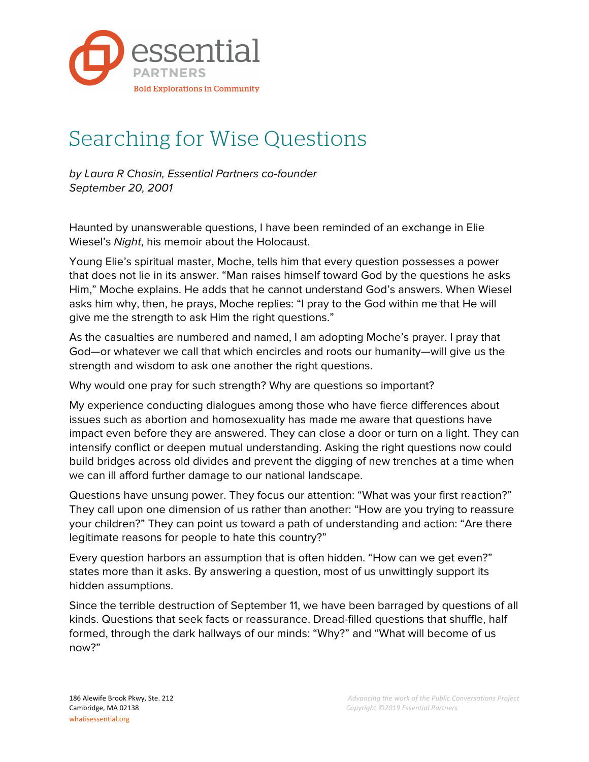

## Searching for Wise Questions

*by Laura R Chasin, Essential Partners co-founder September 20, 2001*

Haunted by unanswerable questions, I have been reminded of an exchange in Elie Wiesel's *Night*, his memoir about the Holocaust.

Young Elie's spiritual master, Moche, tells him that every question possesses a power that does not lie in its answer. "Man raises himself toward God by the questions he asks Him," Moche explains. He adds that he cannot understand God's answers. When Wiesel asks him why, then, he prays, Moche replies: "I pray to the God within me that He will give me the strength to ask Him the right questions."

As the casualties are numbered and named, I am adopting Moche's prayer. I pray that God—or whatever we call that which encircles and roots our humanity—will give us the strength and wisdom to ask one another the right questions.

Why would one pray for such strength? Why are questions so important?

My experience conducting dialogues among those who have fierce differences about issues such as abortion and homosexuality has made me aware that questions have impact even before they are answered. They can close a door or turn on a light. They can intensify conflict or deepen mutual understanding. Asking the right questions now could build bridges across old divides and prevent the digging of new trenches at a time when we can ill afford further damage to our national landscape.

Questions have unsung power. They focus our attention: "What was your first reaction?" They call upon one dimension of us rather than another: "How are you trying to reassure your children?" They can point us toward a path of understanding and action: "Are there legitimate reasons for people to hate this country?"

Every question harbors an assumption that is often hidden. "How can we get even?" states more than it asks. By answering a question, most of us unwittingly support its hidden assumptions.

Since the terrible destruction of September 11, we have been barraged by questions of all kinds. Questions that seek facts or reassurance. Dread-filled questions that shuffle, half formed, through the dark hallways of our minds: "Why?" and "What will become of us now?"